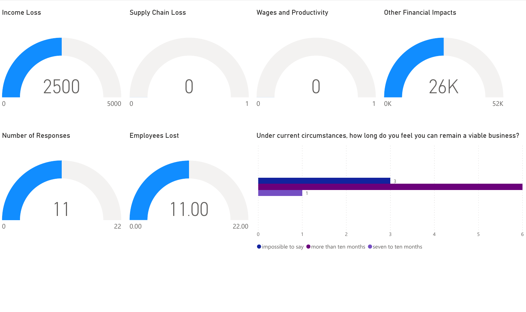

 $\bullet$  impossible to say  $\bullet$  more than ten months  $\bullet$  seven to ten months